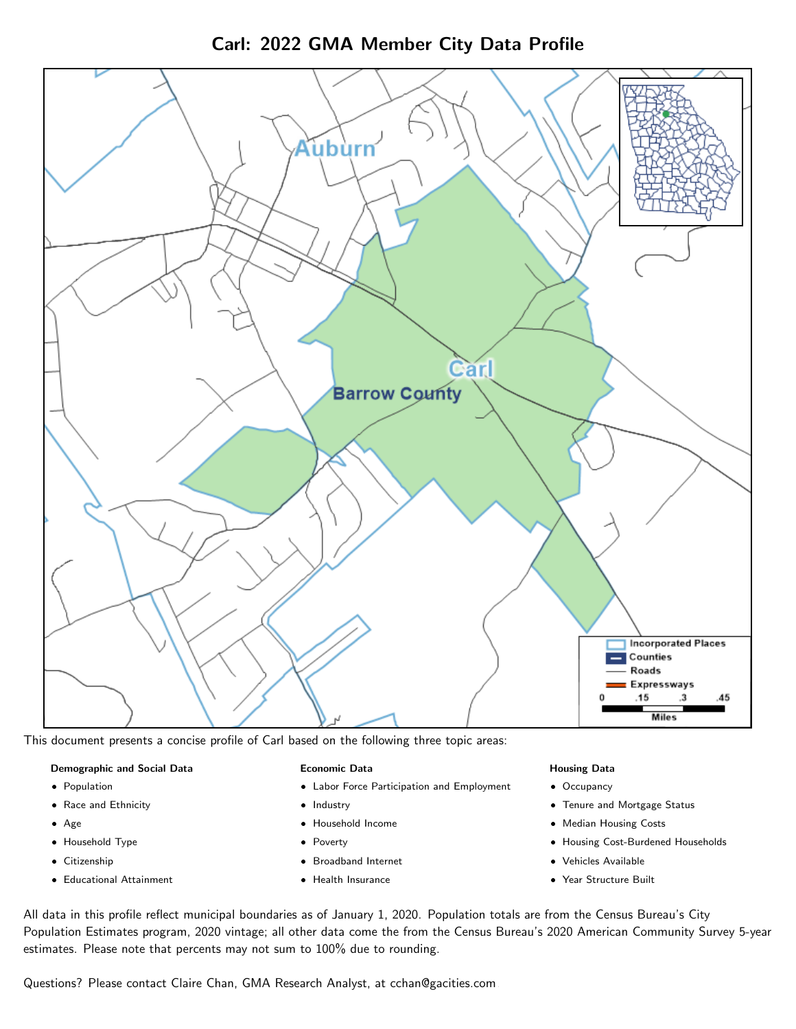Carl: 2022 GMA Member City Data Profile



This document presents a concise profile of Carl based on the following three topic areas:

#### Demographic and Social Data

- **•** Population
- Race and Ethnicity
- Age
- Household Type
- **Citizenship**
- Educational Attainment

#### Economic Data

- Labor Force Participation and Employment
- Industry
- Household Income
- Poverty
- Broadband Internet
- Health Insurance

#### Housing Data

- Occupancy
- Tenure and Mortgage Status
- Median Housing Costs
- Housing Cost-Burdened Households
- Vehicles Available
- Year Structure Built

All data in this profile reflect municipal boundaries as of January 1, 2020. Population totals are from the Census Bureau's City Population Estimates program, 2020 vintage; all other data come the from the Census Bureau's 2020 American Community Survey 5-year estimates. Please note that percents may not sum to 100% due to rounding.

Questions? Please contact Claire Chan, GMA Research Analyst, at [cchan@gacities.com.](mailto:cchan@gacities.com)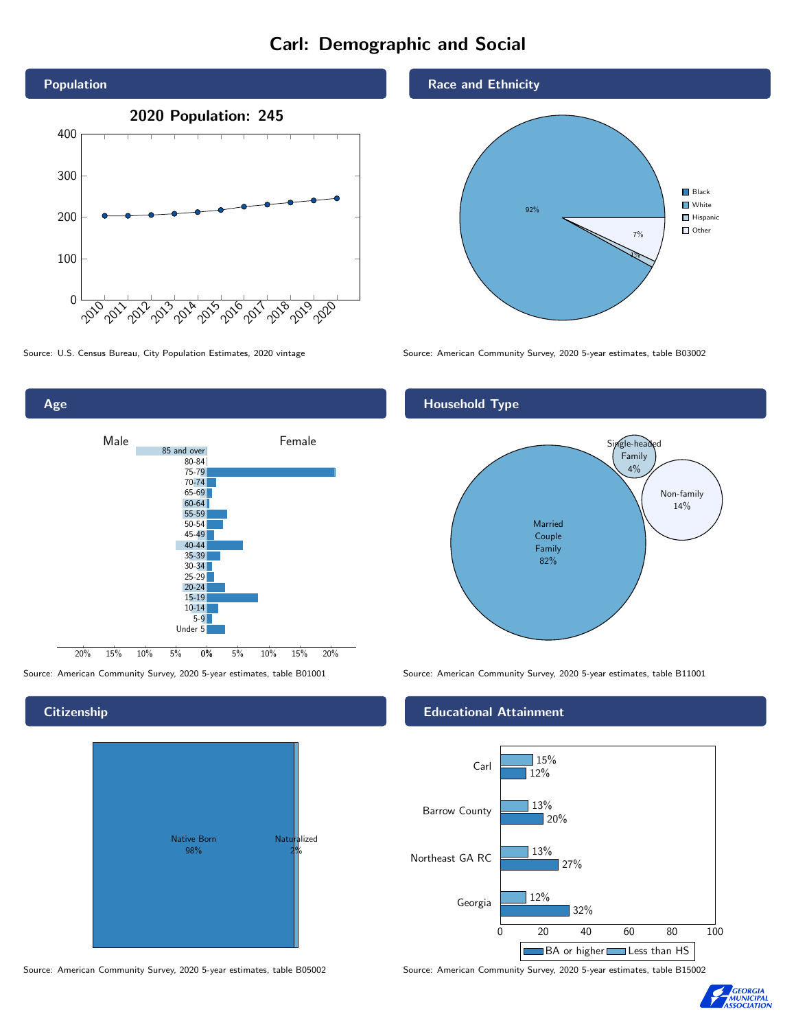# Carl: Demographic and Social



0% 5% 10% 15% 20% Male **Female** 20% 15% 10% 5% 85 and over 80-84 75-79 70-74 65-69 60-64 55-59 50-54 45-49 40-44 35-39 30-34  $25 - 29$ 20-24 15-19  $10-14$ 5-9 Under 5

## **Citizenship**

Age



Source: American Community Survey, 2020 5-year estimates, table B05002 Source: American Community Survey, 2020 5-year estimates, table B15002

Race and Ethnicity



Source: U.S. Census Bureau, City Population Estimates, 2020 vintage Source: American Community Survey, 2020 5-year estimates, table B03002

# Household Type



Source: American Community Survey, 2020 5-year estimates, table B01001 Source: American Community Survey, 2020 5-year estimates, table B11001

#### Educational Attainment



**GEORGIA<br>MUNICIPAL<br>SSOCIATION**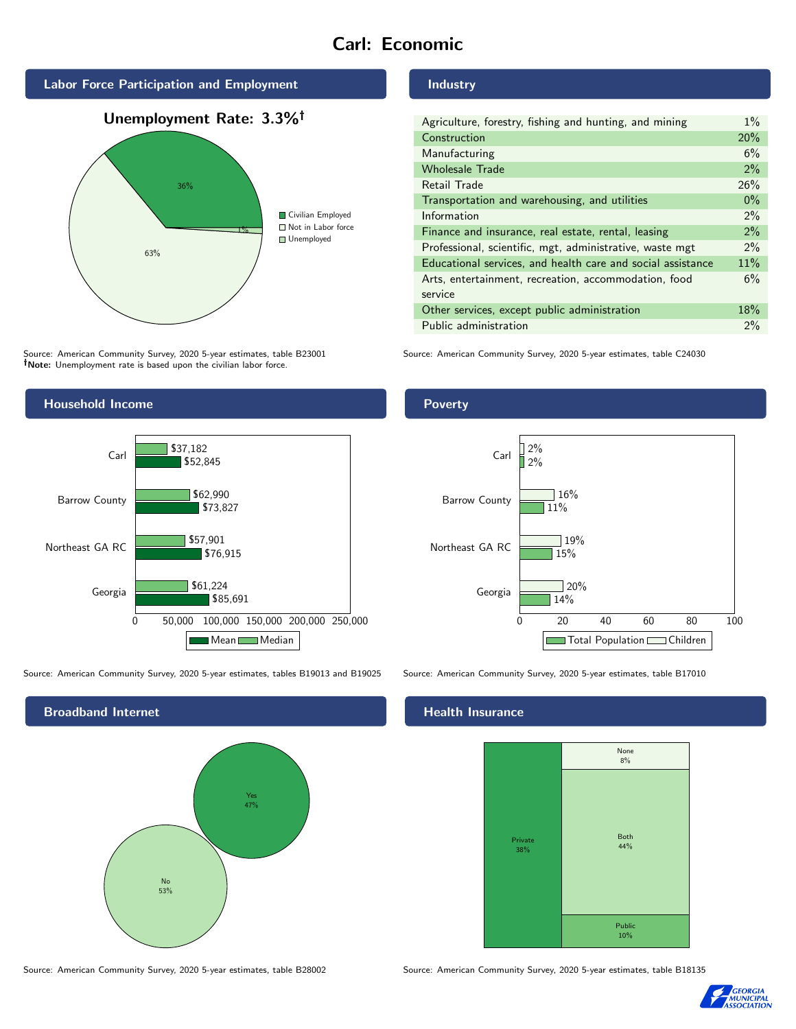# Carl: Economic





Source: American Community Survey, 2020 5-year estimates, table B23001 Note: Unemployment rate is based upon the civilian labor force.

# Household Income



Source: American Community Survey, 2020 5-year estimates, tables B19013 and B19025 Source: American Community Survey, 2020 5-year estimates, table B17010



Source: American Community Survey, 2020 5-year estimates, table B28002 Source: American Community Survey, 2020 5-year estimates, table B18135

#### Industry

| Agriculture, forestry, fishing and hunting, and mining      | $1\%$ |
|-------------------------------------------------------------|-------|
| Construction                                                | 20%   |
| Manufacturing                                               | 6%    |
| <b>Wholesale Trade</b>                                      | 2%    |
| Retail Trade                                                | 26%   |
| Transportation and warehousing, and utilities               | $0\%$ |
| Information                                                 | $2\%$ |
| Finance and insurance, real estate, rental, leasing         | 2%    |
| Professional, scientific, mgt, administrative, waste mgt    | $2\%$ |
| Educational services, and health care and social assistance | 11%   |
| Arts, entertainment, recreation, accommodation, food        | 6%    |
| service                                                     |       |
| Other services, except public administration                | 18%   |
| Public administration                                       | 2%    |

Source: American Community Survey, 2020 5-year estimates, table C24030

## Poverty



# **Health Insurance**